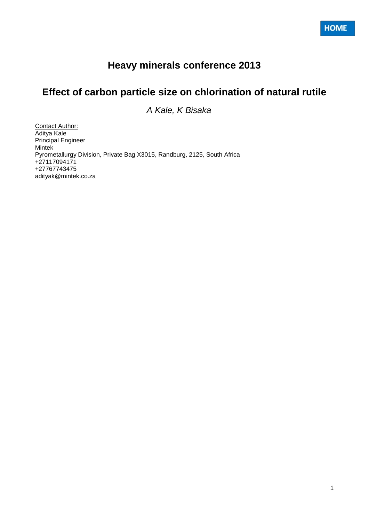# **Heavy minerals conference 2013**

# **Effect of carbon particle size on chlorination of natural rutile**

*A Kale, K Bisaka*

Contact Author: Aditya Kale Principal Engineer Mintek Pyrometallurgy Division, Private Bag X3015, Randburg, 2125, South Africa +27117094171 +27767743475 adityak@mintek.co.za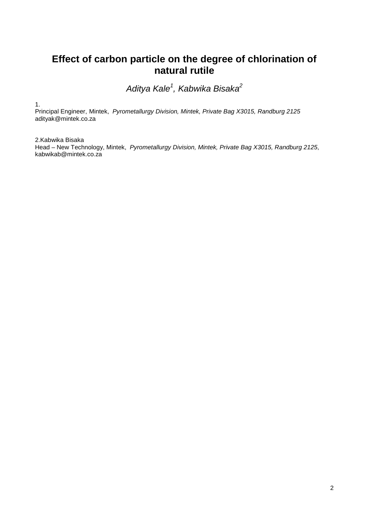# **Effect of carbon particle on the degree of chlorination of natural rutile**

*Aditya Kale<sup>1</sup> , Kabwika Bisaka<sup>2</sup>*

1.

Principal Engineer, Mintek, *Pyrometallurgy Division, Mintek, Private Bag X3015, Randburg 2125* adityak@mintek.co.za

2.Kabwika Bisaka Head – New Technology, Mintek, *Pyrometallurgy Division, Mintek, Private Bag X3015, Randburg 2125*, kabwikab@mintek.co.za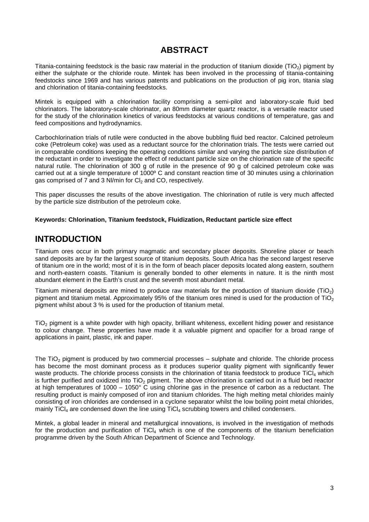# **ABSTRACT**

Titania-containing feedstock is the basic raw material in the production of titanium dioxide (TiO2) pigment by either the sulphate or the chloride route. Mintek has been involved in the processing of titania-containing feedstocks since 1969 and has various patents and publications on the production of pig iron, titania slag and chlorination of titania-containing feedstocks.

Mintek is equipped with a chlorination facility comprising a semi-pilot and laboratory-scale fluid bed chlorinators. The laboratory-scale chlorinator, an 80mm diameter quartz reactor, is a versatile reactor used for the study of the chlorination kinetics of various feedstocks at various conditions of temperature, gas and feed compositions and hydrodynamics.

Carbochlorination trials of rutile were conducted in the above bubbling fluid bed reactor. Calcined petroleum coke (Petroleum coke) was used as a reductant source for the chlorination trials. The tests were carried out in comparable conditions keeping the operating conditions similar and varying the particle size distribution of the reductant in order to investigate the effect of reductant particle size on the chlorination rate of the specific natural rutile. The chlorination of 300 g of rutile in the presence of 90 g of calcined petroleum coke was carried out at a single temperature of 1000º C and constant reaction time of 30 minutes using a chlorination gas comprised of  $\overline{7}$  and  $\overline{3}$  NI/min for CI<sub>2</sub> and CO, respectively.

This paper discusses the results of the above investigation. The chlorination of rutile is very much affected by the particle size distribution of the petroleum coke.

#### **Keywords: Chlorination, Titanium feedstock, Fluidization, Reductant particle size effect**

# **INTRODUCTION**

Titanium ores occur in both primary magmatic and secondary placer deposits. Shoreline placer or beach sand deposits are by far the largest source of titanium deposits. South Africa has the second largest reserve of titanium ore in the world; most of it is in the form of beach placer deposits located along eastern, southern and north-eastern coasts. Titanium is generally bonded to other elements in nature. It is the ninth most abundant element in the Earth's crust and the seventh most abundant metal.

Titanium mineral deposits are mined to produce raw materials for the production of titanium dioxide ( $TiO<sub>2</sub>$ ) pigment and titanium metal. Approximately 95% of the titanium ores mined is used for the production of TiO<sub>2</sub> pigment whilst about 3 % is used for the production of titanium metal.

TiO<sup>2</sup> pigment is a white powder with high opacity, brilliant whiteness, excellent hiding power and resistance to colour change. These properties have made it a valuable pigment and opacifier for a broad range of applications in paint, plastic, ink and paper.

The  $TiO<sub>2</sub>$  pigment is produced by two commercial processes – sulphate and chloride. The chloride process has become the most dominant process as it produces superior quality pigment with significantly fewer waste products. The chloride process consists in the chlorination of titania feedstock to produce TiCl<sub>4</sub> which is further purified and oxidized into  $TiO<sub>2</sub>$  pigment. The above chlorination is carried out in a fluid bed reactor at high temperatures of 1000 – 1050° C using chlorine gas in the presence of carbon as a reductant. The resulting product is mainly composed of iron and titanium chlorides. The high melting metal chlorides mainly consisting of iron chlorides are condensed in a cyclone separator whilst the low boiling point metal chlorides, mainly TiCl<sub>4</sub> are condensed down the line using  $TiCl<sub>4</sub>$  scrubbing towers and chilled condensers.

Mintek, a global leader in mineral and metallurgical innovations, is involved in the investigation of methods for the production and purification of  $TiCl<sub>4</sub>$  which is one of the components of the titanium beneficiation programme driven by the South African Department of Science and Technology.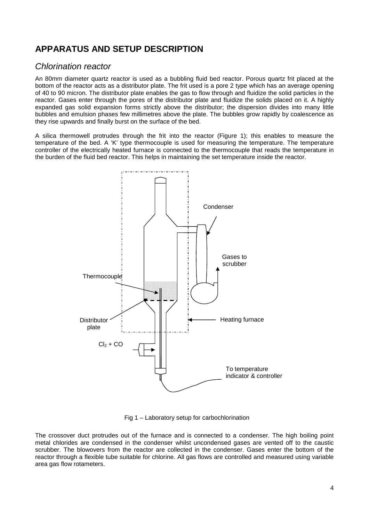# **APPARATUS AND SETUP DESCRIPTION**

### *Chlorination reactor*

An 80mm diameter quartz reactor is used as a bubbling fluid bed reactor. Porous quartz frit placed at the bottom of the reactor acts as a distributor plate. The frit used is a pore 2 type which has an average opening of 40 to 90 micron. The distributor plate enables the gas to flow through and fluidize the solid particles in the reactor. Gases enter through the pores of the distributor plate and fluidize the solids placed on it. A highly expanded gas solid expansion forms strictly above the distributor; the dispersion divides into many little bubbles and emulsion phases few millimetres above the plate. The bubbles grow rapidly by coalescence as they rise upwards and finally burst on the surface of the bed.

A silica thermowell protrudes through the frit into the reactor (Figure 1); this enables to measure the temperature of the bed. A 'K' type thermocouple is used for measuring the temperature. The temperature controller of the electrically heated furnace is connected to the thermocouple that reads the temperature in the burden of the fluid bed reactor. This helps in maintaining the set temperature inside the reactor.



Fig 1 – Laboratory setup for carbochlorination

The crossover duct protrudes out of the furnace and is connected to a condenser. The high boiling point metal chlorides are condensed in the condenser whilst uncondensed gases are vented off to the caustic scrubber. The blowovers from the reactor are collected in the condenser. Gases enter the bottom of the reactor through a flexible tube suitable for chlorine. All gas flows are controlled and measured using variable area gas flow rotameters.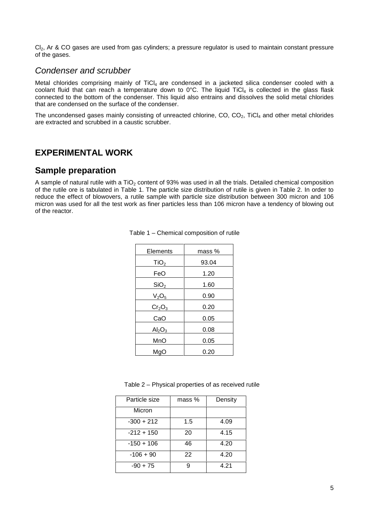Cl<sub>2</sub>, Ar & CO gases are used from gas cylinders; a pressure regulator is used to maintain constant pressure of the gases.

### *Condenser and scrubber*

Metal chlorides comprising mainly of TiCl<sub>4</sub> are condensed in a jacketed silica condenser cooled with a coolant fluid that can reach a temperature down to  $0^{\circ}$ C. The liquid TiCl<sub>4</sub> is collected in the glass flask connected to the bottom of the condenser. This liquid also entrains and dissolves the solid metal chlorides that are condensed on the surface of the condenser.

The uncondensed gases mainly consisting of unreacted chlorine,  $CO$ ,  $CO<sub>2</sub>$ , TiCl<sub>4</sub> and other metal chlorides are extracted and scrubbed in a caustic scrubber.

### **EXPERIMENTAL WORK**

### **Sample preparation**

A sample of natural rutile with a TiO<sub>2</sub> content of 93% was used in all the trials. Detailed chemical composition of the rutile ore is tabulated in Table 1. The particle size distribution of rutile is given in Table 2. In order to reduce the effect of blowovers, a rutile sample with particle size distribution between 300 micron and 106 micron was used for all the test work as finer particles less than 106 micron have a tendency of blowing out of the reactor.

| Elements                       | mass% |  |
|--------------------------------|-------|--|
| TiO <sub>2</sub>               | 93.04 |  |
| FeO                            | 1.20  |  |
| SiO <sub>2</sub>               | 1.60  |  |
| V <sub>2</sub> O <sub>5</sub>  | 0.90  |  |
| Cr <sub>2</sub> O <sub>3</sub> | 0.20  |  |
| CaO                            | 0.05  |  |
| Al <sub>2</sub> O <sub>3</sub> | 0.08  |  |
| MnO                            | 0.05  |  |
| MgO                            | 0.20  |  |

| Table 1 – Chemical composition of rutile |  |
|------------------------------------------|--|
|------------------------------------------|--|

Table 2 – Physical properties of as received rutile

| Particle size | $mass %$ | Density |
|---------------|----------|---------|
| Micron        |          |         |
| $-300 + 212$  | 1.5      | 4.09    |
| $-212 + 150$  | 20       | 4.15    |
| $-150 + 106$  | 46       | 4.20    |
| $-106 + 90$   | 22       | 4.20    |
| $-90 + 75$    | g        | 4.21    |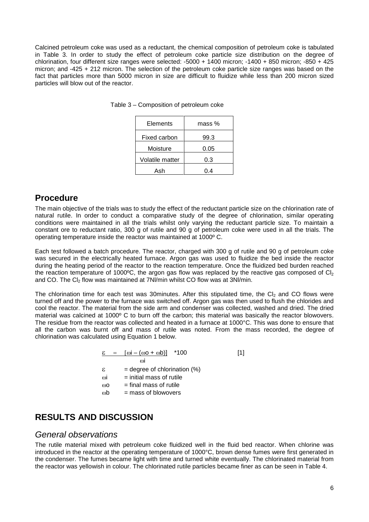Calcined petroleum coke was used as a reductant, the chemical composition of petroleum coke is tabulated in Table 3. In order to study the effect of petroleum coke particle size distribution on the degree of chlorination, four different size ranges were selected:  $-5000 + 1400$  micron;  $-1400 + 850$  micron;  $-850 + 425$ micron; and -425 + 212 micron. The selection of the petroleum coke particle size ranges was based on the fact that particles more than 5000 micron in size are difficult to fluidize while less than 200 micron sized particles will blow out of the reactor.

| Elements        | mass % |  |
|-----------------|--------|--|
| Fixed carbon    | 99.3   |  |
| Moisture        | 0.05   |  |
| Volatile matter | 0.3    |  |
| Ash             | -4     |  |

Table 3 – Composition of petroleum coke

### **Procedure**

The main objective of the trials was to study the effect of the reductant particle size on the chlorination rate of natural rutile. In order to conduct a comparative study of the degree of chlorination, similar operating conditions were maintained in all the trials whilst only varying the reductant particle size. To maintain a constant ore to reductant ratio, 300 g of rutile and 90 g of petroleum coke were used in all the trials. The operating temperature inside the reactor was maintained at 1000º C.

Each test followed a batch procedure. The reactor, charged with 300 g of rutile and 90 g of petroleum coke was secured in the electrically heated furnace. Argon gas was used to fluidize the bed inside the reactor during the heating period of the reactor to the reaction temperature. Once the fluidized bed burden reached the reaction temperature of 1000°C, the argon gas flow was replaced by the reactive gas composed of  $Cl<sub>2</sub>$ and CO. The Cl<sub>2</sub> flow was maintained at 7Nl/min whilst CO flow was at 3Nl/min.

The chlorination time for each test was 30minutes. After this stipulated time, the CI<sub>2</sub> and CO flows were turned off and the power to the furnace was switched off. Argon gas was then used to flush the chlorides and cool the reactor. The material from the side arm and condenser was collected, washed and dried. The dried material was calcined at 1000º C to burn off the carbon; this material was basically the reactor blowovers. The residue from the reactor was collected and heated in a furnace at 1000°C. This was done to ensure that all the carbon was burnt off and mass of rutile was noted. From the mass recorded, the degree of chlorination was calculated using Equation 1 below.

$$
E = [\omega i - (\omega o + \omega b)] * 100
$$
 [1]  
\nωi  
\n= degree of chlorination (%)  
\nωi = initial mass of rule  
\nωo = final mass of rule  
\nab = mass of blowovers

# **RESULTS AND DISCUSSION**

### *General observations*

The rutile material mixed with petroleum coke fluidized well in the fluid bed reactor. When chlorine was introduced in the reactor at the operating temperature of 1000°C, brown dense fumes were first generated in the condenser. The fumes became light with time and turned white eventually. The chlorinated material from the reactor was yellowish in colour. The chlorinated rutile particles became finer as can be seen in Table 4.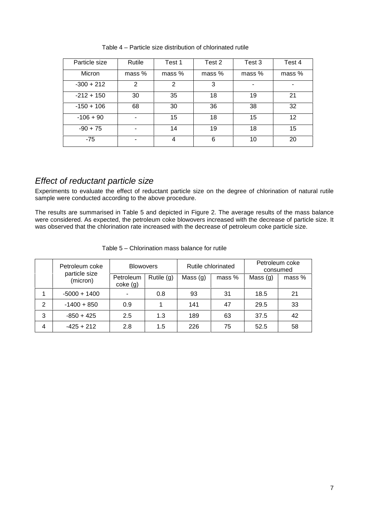| Particle size | Rutile        | Test 1 | Test 2 | Test 3         | Test 4 |
|---------------|---------------|--------|--------|----------------|--------|
| Micron        | mass %        | mass % | mass % | mass %         | mass % |
| $-300 + 212$  | $\mathcal{P}$ | 2      | 3      | $\blacksquare$ | ۰      |
| $-212 + 150$  | 30            | 35     | 18     | 19             | 21     |
| $-150 + 106$  | 68            | 30     | 36     | 38             | 32     |
| $-106 + 90$   |               | 15     | 18     | 15             | 12     |
| $-90 + 75$    |               | 14     | 19     | 18             | 15     |
| $-75$         |               | 4      | 6      | 10             | 20     |

Table 4 – Particle size distribution of chlorinated rutile

# *Effect of reductant particle size*

Experiments to evaluate the effect of reductant particle size on the degree of chlorination of natural rutile sample were conducted according to the above procedure.

The results are summarised in Table 5 and depicted in Figure 2. The average results of the mass balance were considered. As expected, the petroleum coke blowovers increased with the decrease of particle size. It was observed that the chlorination rate increased with the decrease of petroleum coke particle size.

|   | <b>Blowovers</b><br>Petroleum coke<br>particle size |                       | Rutile chlorinated |            | Petroleum coke<br>consumed |            |        |
|---|-----------------------------------------------------|-----------------------|--------------------|------------|----------------------------|------------|--------|
|   | (micron)                                            | Petroleum<br>coke (g) | Rutile $(g)$       | Mass $(g)$ | mass %                     | Mass $(g)$ | mass % |
|   | $-5000 + 1400$                                      | ۰.                    | 0.8                | 93         | 31                         | 18.5       | 21     |
| 2 | $-1400 + 850$                                       | 0.9                   |                    | 141        | 47                         | 29.5       | 33     |
| 3 | $-850 + 425$                                        | 2.5                   | 1.3                | 189        | 63                         | 37.5       | 42     |
| 4 | $-425 + 212$                                        | 2.8                   | 1.5                | 226        | 75                         | 52.5       | 58     |

Table 5 – Chlorination mass balance for rutile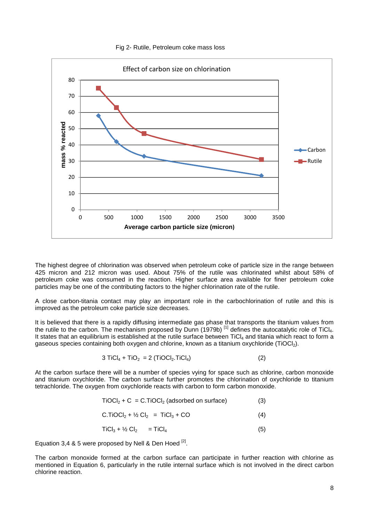#### Fig 2- Rutile, Petroleum coke mass loss



The highest degree of chlorination was observed when petroleum coke of particle size in the range between 425 micron and 212 micron was used. About 75% of the rutile was chlorinated whilst about 58% of petroleum coke was consumed in the reaction. Higher surface area available for finer petroleum coke particles may be one of the contributing factors to the higher chlorination rate of the rutile.

A close carbon-titania contact may play an important role in the carbochlorination of rutile and this is improved as the petroleum coke particle size decreases.

It is believed that there is a rapidly diffusing intermediate gas phase that transports the titanium values from the rutile to the carbon. The mechanism proposed by Dunn (1979b)  $^{[1]}$  defines the autocatalytic role of TiCl. It states that an equilibrium is established at the rutile surface between TiCl4 and titania which react to form a gaseous species containing both oxygen and chlorine, known as a titanium oxychloride (TiOCl<sub>2</sub>).

$$
3 TiCl_4 + TiO_2 = 2 (TiOCl_2.TiCl_4)
$$
 (2)

At the carbon surface there will be a number of species vying for space such as chlorine, carbon monoxide and titanium oxychloride. The carbon surface further promotes the chlorination of oxychloride to titanium tetrachloride. The oxygen from oxychloride reacts with carbon to form carbon monoxide.

$$
TiOCl2 + C = C.TiOCl2 (adsorbed on surface)
$$
 (3)

$$
C.TIOCl2 + \frac{1}{2} Cl2 = TiCl3 + CO
$$
 (4)

$$
TiCl_3 + \frac{1}{2} Cl_2 = TiCl_4 \tag{5}
$$

Equation 3,4 & 5 were proposed by Nell & Den Hoed  $^{[2]}$ .

The carbon monoxide formed at the carbon surface can participate in further reaction with chlorine as mentioned in Equation 6, particularly in the rutile internal surface which is not involved in the direct carbon chlorine reaction.